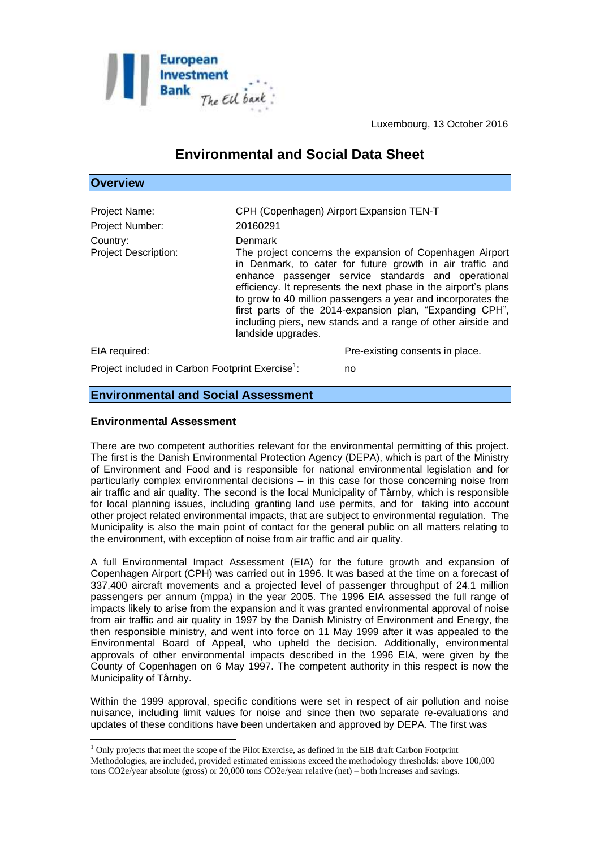

Luxembourg, 13 October 2016

# **Environmental and Social Data Sheet**

# **Overview**

| Project Name:<br>Project Number:<br>Country:<br><b>Project Description:</b> | CPH (Copenhagen) Airport Expansion TEN-T<br>20160291<br><b>Denmark</b> | The project concerns the expansion of Copenhagen Airport<br>in Denmark, to cater for future growth in air traffic and<br>enhance passenger service standards and operational<br>efficiency. It represents the next phase in the airport's plans<br>to grow to 40 million passengers a year and incorporates the<br>first parts of the 2014-expansion plan, "Expanding CPH",<br>including piers, new stands and a range of other airside and |
|-----------------------------------------------------------------------------|------------------------------------------------------------------------|---------------------------------------------------------------------------------------------------------------------------------------------------------------------------------------------------------------------------------------------------------------------------------------------------------------------------------------------------------------------------------------------------------------------------------------------|
|                                                                             | landside upgrades.                                                     |                                                                                                                                                                                                                                                                                                                                                                                                                                             |
| EIA required:                                                               |                                                                        | Pre-existing consents in place.                                                                                                                                                                                                                                                                                                                                                                                                             |
| Project included in Carbon Footprint Exercise <sup>1</sup> :                |                                                                        | no                                                                                                                                                                                                                                                                                                                                                                                                                                          |

# **Environmental and Social Assessment**

#### **Environmental Assessment**

<u>.</u>

There are two competent authorities relevant for the environmental permitting of this project. The first is the Danish Environmental Protection Agency (DEPA), which is part of the Ministry of Environment and Food and is responsible for national environmental legislation and for particularly complex environmental decisions – in this case for those concerning noise from air traffic and air quality. The second is the local Municipality of Tårnby, which is responsible for local planning issues, including granting land use permits, and for taking into account other project related environmental impacts, that are subject to environmental regulation. The Municipality is also the main point of contact for the general public on all matters relating to the environment, with exception of noise from air traffic and air quality.

A full Environmental Impact Assessment (EIA) for the future growth and expansion of Copenhagen Airport (CPH) was carried out in 1996. It was based at the time on a forecast of 337,400 aircraft movements and a projected level of passenger throughput of 24.1 million passengers per annum (mppa) in the year 2005. The 1996 EIA assessed the full range of impacts likely to arise from the expansion and it was granted environmental approval of noise from air traffic and air quality in 1997 by the Danish Ministry of Environment and Energy, the then responsible ministry, and went into force on 11 May 1999 after it was appealed to the Environmental Board of Appeal, who upheld the decision. Additionally, environmental approvals of other environmental impacts described in the 1996 EIA, were given by the County of Copenhagen on 6 May 1997. The competent authority in this respect is now the Municipality of Tårnby.

Within the 1999 approval, specific conditions were set in respect of air pollution and noise nuisance, including limit values for noise and since then two separate re-evaluations and updates of these conditions have been undertaken and approved by DEPA. The first was

<sup>&</sup>lt;sup>1</sup> Only projects that meet the scope of the Pilot Exercise, as defined in the EIB draft Carbon Footprint Methodologies, are included, provided estimated emissions exceed the methodology thresholds: above 100,000 tons CO2e/year absolute (gross) or 20,000 tons CO2e/year relative (net) – both increases and savings.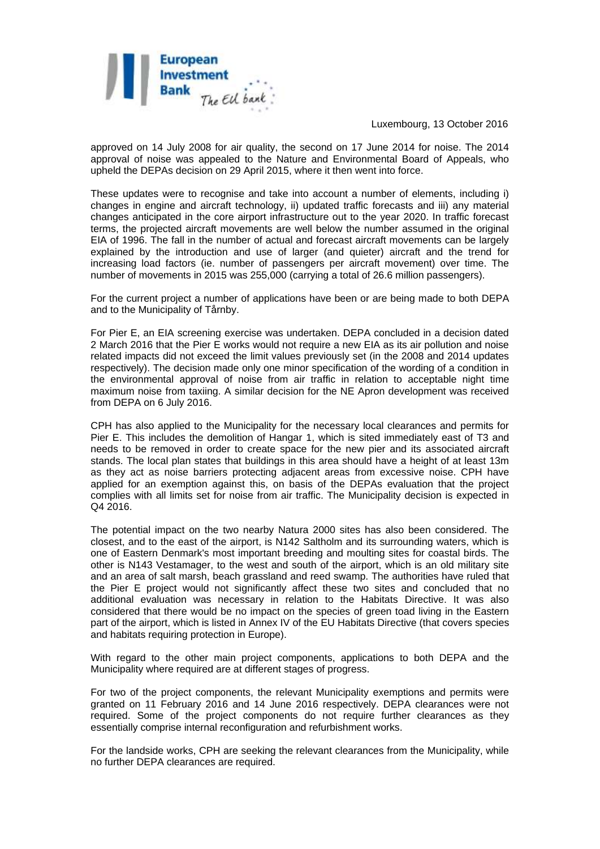

Luxembourg, 13 October 2016

approved on 14 July 2008 for air quality, the second on 17 June 2014 for noise. The 2014 approval of noise was appealed to the Nature and Environmental Board of Appeals, who upheld the DEPAs decision on 29 April 2015, where it then went into force.

These updates were to recognise and take into account a number of elements, including i) changes in engine and aircraft technology, ii) updated traffic forecasts and iii) any material changes anticipated in the core airport infrastructure out to the year 2020. In traffic forecast terms, the projected aircraft movements are well below the number assumed in the original EIA of 1996. The fall in the number of actual and forecast aircraft movements can be largely explained by the introduction and use of larger (and quieter) aircraft and the trend for increasing load factors (ie. number of passengers per aircraft movement) over time. The number of movements in 2015 was 255,000 (carrying a total of 26.6 million passengers).

For the current project a number of applications have been or are being made to both DEPA and to the Municipality of Tårnby.

For Pier E, an EIA screening exercise was undertaken. DEPA concluded in a decision dated 2 March 2016 that the Pier E works would not require a new EIA as its air pollution and noise related impacts did not exceed the limit values previously set (in the 2008 and 2014 updates respectively). The decision made only one minor specification of the wording of a condition in the environmental approval of noise from air traffic in relation to acceptable night time maximum noise from taxiing. A similar decision for the NE Apron development was received from DEPA on 6 July 2016.

CPH has also applied to the Municipality for the necessary local clearances and permits for Pier E. This includes the demolition of Hangar 1, which is sited immediately east of T3 and needs to be removed in order to create space for the new pier and its associated aircraft stands. The local plan states that buildings in this area should have a height of at least 13m as they act as noise barriers protecting adjacent areas from excessive noise. CPH have applied for an exemption against this, on basis of the DEPAs evaluation that the project complies with all limits set for noise from air traffic. The Municipality decision is expected in Q4 2016.

The potential impact on the two nearby Natura 2000 sites has also been considered. The closest, and to the east of the airport, is N142 Saltholm and its surrounding waters, which is one of Eastern Denmark's most important breeding and moulting sites for coastal birds. The other is N143 Vestamager, to the west and south of the airport, which is an old military site and an area of salt marsh, beach grassland and reed swamp. The authorities have ruled that the Pier E project would not significantly affect these two sites and concluded that no additional evaluation was necessary in relation to the Habitats Directive. It was also considered that there would be no impact on the species of green toad living in the Eastern part of the airport, which is listed in Annex IV of the EU Habitats Directive (that covers species and habitats requiring protection in Europe).

With regard to the other main project components, applications to both DEPA and the Municipality where required are at different stages of progress.

For two of the project components, the relevant Municipality exemptions and permits were granted on 11 February 2016 and 14 June 2016 respectively. DEPA clearances were not required. Some of the project components do not require further clearances as they essentially comprise internal reconfiguration and refurbishment works.

For the landside works, CPH are seeking the relevant clearances from the Municipality, while no further DEPA clearances are required.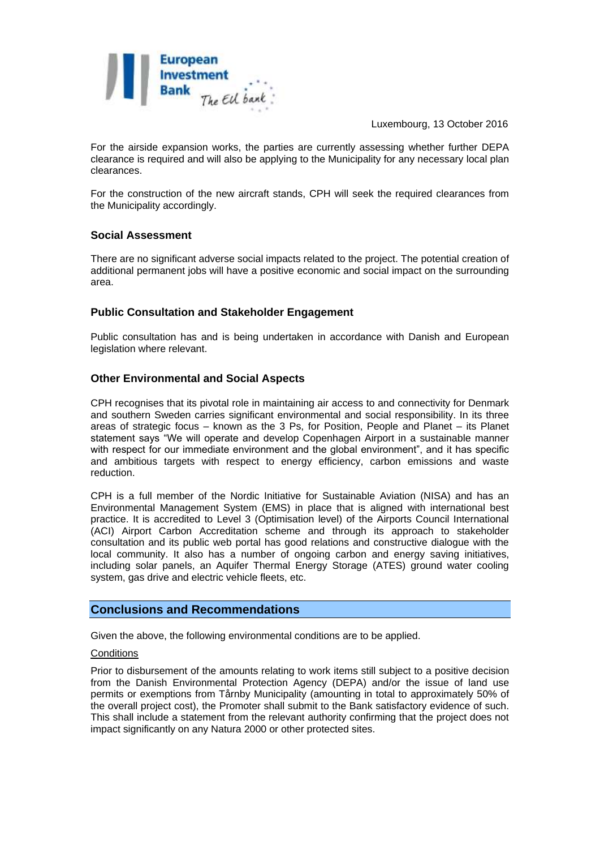

Luxembourg, 13 October 2016

For the airside expansion works, the parties are currently assessing whether further DEPA clearance is required and will also be applying to the Municipality for any necessary local plan clearances.

For the construction of the new aircraft stands, CPH will seek the required clearances from the Municipality accordingly.

# **Social Assessment**

There are no significant adverse social impacts related to the project. The potential creation of additional permanent jobs will have a positive economic and social impact on the surrounding area.

# **Public Consultation and Stakeholder Engagement**

Public consultation has and is being undertaken in accordance with Danish and European legislation where relevant.

#### **Other Environmental and Social Aspects**

CPH recognises that its pivotal role in maintaining air access to and connectivity for Denmark and southern Sweden carries significant environmental and social responsibility. In its three areas of strategic focus – known as the 3 Ps, for Position, People and Planet – its Planet statement says "We will operate and develop Copenhagen Airport in a sustainable manner with respect for our immediate environment and the global environment", and it has specific and ambitious targets with respect to energy efficiency, carbon emissions and waste reduction.

CPH is a full member of the Nordic Initiative for Sustainable Aviation (NISA) and has an Environmental Management System (EMS) in place that is aligned with international best practice. It is accredited to Level 3 (Optimisation level) of the Airports Council International (ACI) Airport Carbon Accreditation scheme and through its approach to stakeholder consultation and its public web portal has good relations and constructive dialogue with the local community. It also has a number of ongoing carbon and energy saving initiatives, including solar panels, an Aquifer Thermal Energy Storage (ATES) ground water cooling system, gas drive and electric vehicle fleets, etc.

#### **Conclusions and Recommendations**

Given the above, the following environmental conditions are to be applied.

#### **Conditions**

Prior to disbursement of the amounts relating to work items still subject to a positive decision from the Danish Environmental Protection Agency (DEPA) and/or the issue of land use permits or exemptions from Tårnby Municipality (amounting in total to approximately 50% of the overall project cost), the Promoter shall submit to the Bank satisfactory evidence of such. This shall include a statement from the relevant authority confirming that the project does not impact significantly on any Natura 2000 or other protected sites.